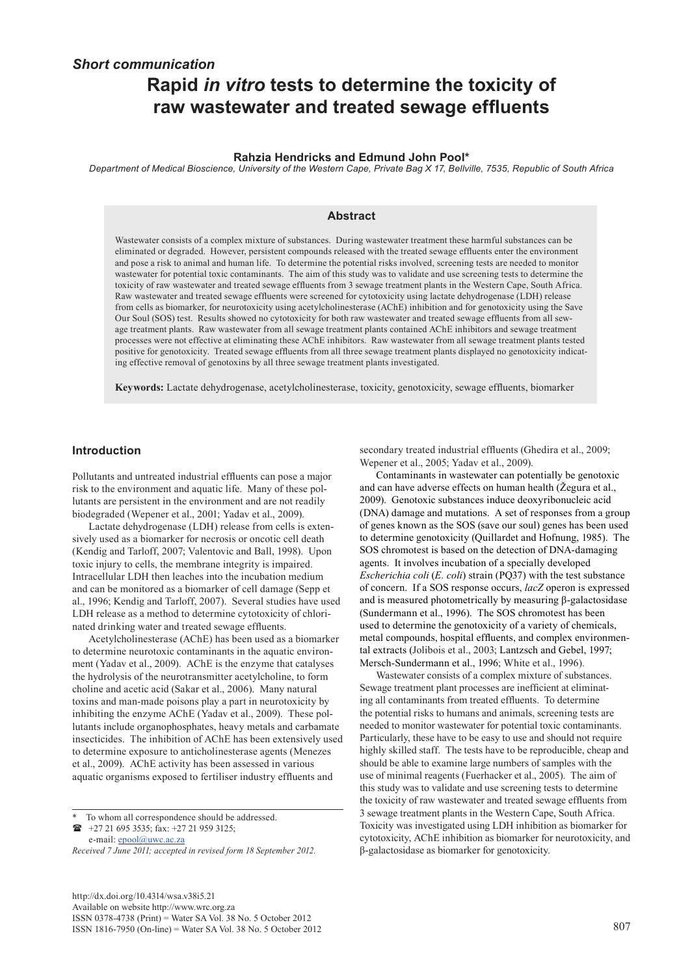# *Short communication* **Rapid** *in vitro* **tests to determine the toxicity of raw wastewater and treated sewage effluents**

#### **Rahzia Hendricks and Edmund John Pool\***

*Department of Medical Bioscience, University of the Western Cape, Private Bag X 17, Bellville, 7535, Republic of South Africa*

# **Abstract**

Wastewater consists of a complex mixture of substances. During wastewater treatment these harmful substances can be eliminated or degraded. However, persistent compounds released with the treated sewage effluents enter the environment and pose a risk to animal and human life. To determine the potential risks involved, screening tests are needed to monitor wastewater for potential toxic contaminants. The aim of this study was to validate and use screening tests to determine the toxicity of raw wastewater and treated sewage effluents from 3 sewage treatment plants in the Western Cape, South Africa. Raw wastewater and treated sewage effluents were screened for cytotoxicity using lactate dehydrogenase (LDH) release from cells as biomarker, for neurotoxicity using acetylcholinesterase (AChE) inhibition and for genotoxicity using the Save Our Soul (SOS) test. Results showed no cytotoxicity for both raw wastewater and treated sewage effluents from all sewage treatment plants. Raw wastewater from all sewage treatment plants contained AChE inhibitors and sewage treatment processes were not effective at eliminating these AChE inhibitors. Raw wastewater from all sewage treatment plants tested positive for genotoxicity. Treated sewage effluents from all three sewage treatment plants displayed no genotoxicity indicating effective removal of genotoxins by all three sewage treatment plants investigated.

**Keywords:** Lactate dehydrogenase, acetylcholinesterase, toxicity, genotoxicity, sewage effluents, biomarker

# **Introduction**

Pollutants and untreated industrial effluents can pose a major risk to the environment and aquatic life. Many of these pollutants are persistent in the environment and are not readily biodegraded (Wepener et al., 2001; Yadav et al., 2009).

Lactate dehydrogenase (LDH) release from cells is extensively used as a biomarker for necrosis or oncotic cell death (Kendig and Tarloff, 2007; Valentovic and Ball, 1998). Upon toxic injury to cells, the membrane integrity is impaired. Intracellular LDH then leaches into the incubation medium and can be monitored as a biomarker of cell damage (Sepp et al., 1996; Kendig and Tarloff, 2007). Several studies have used LDH release as a method to determine cytotoxicity of chlorinated drinking water and treated sewage effluents.

Acetylcholinesterase (AChE) has been used as a biomarker to determine neurotoxic contaminants in the aquatic environment (Yadav et al., 2009). AChE is the enzyme that catalyses the hydrolysis of the neurotransmitter acetylcholine, to form choline and acetic acid (Sakar et al., 2006). Many natural toxins and man-made poisons play a part in neurotoxicity by inhibiting the enzyme AChE (Yadav et al., 2009). These pollutants include organophosphates, heavy metals and carbamate insecticides. The inhibition of AChE has been extensively used to determine exposure to anticholinesterase agents (Menezes et al., 2009). AChE activity has been assessed in various aquatic organisms exposed to fertiliser industry effluents and

 +27 21 695 3535; fax: +27 21 959 3125; e-mail: epool@uwc.ac.za

[http://dx.doi.org/10.4314/wsa.v38i5.21](http://dx.doi.org/10.4314/wsa.v37i4.18)  Available on website http://www.wrc.org.za ISSN 0378-4738 (Print) = Water SA Vol. 38 No. 5 October 2012 ISSN 1816-7950 (On-line) = Water SA Vol. 38 No. 5 October 2012 807

secondary treated industrial effluents (Ghedira et al., 2009; Wepener et al., 2005; Yadav et al., 2009).

Contaminants in wastewater can potentially be genotoxic and can have adverse effects on human health (Žegura et al., 2009). Genotoxic substances induce deoxyribonucleic acid (DNA) damage and mutations. A set of responses from a group of genes known as the SOS (save our soul) genes has been used to determine genotoxicity (Quillardet and Hofnung, 1985). The SOS chromotest is based on the detection of DNA-damaging agents. It involves incubation of a specially developed *Escherichia coli* (*E. coli*) strain (PQ37) with the test substance of concern. If a SOS response occurs, *lacZ* operon is expressed and is measured photometrically by measuring β-galactosidase (Sundermann et al., 1996). The SOS chromotest has been used to determine the genotoxicity of a variety of chemicals, metal compounds, hospital effluents, and complex environmental extracts (Jolibois et al., 2003; Lantzsch and Gebel, 1997; Mersch-Sundermann et al., 1996; White et al., 1996).

Wastewater consists of a complex mixture of substances. Sewage treatment plant processes are inefficient at eliminating all contaminants from treated effluents. To determine the potential risks to humans and animals, screening tests are needed to monitor wastewater for potential toxic contaminants. Particularly, these have to be easy to use and should not require highly skilled staff. The tests have to be reproducible, cheap and should be able to examine large numbers of samples with the use of minimal reagents (Fuerhacker et al., 2005). The aim of this study was to validate and use screening tests to determine the toxicity of raw wastewater and treated sewage effluents from 3 sewage treatment plants in the Western Cape, South Africa. Toxicity was investigated using LDH inhibition as biomarker for cytotoxicity, AChE inhibition as biomarker for neurotoxicity, and β-galactosidase as biomarker for genotoxicity.

To whom all correspondence should be addressed.

*Received 7 June 2011; accepted in revised form 18 September 2012.*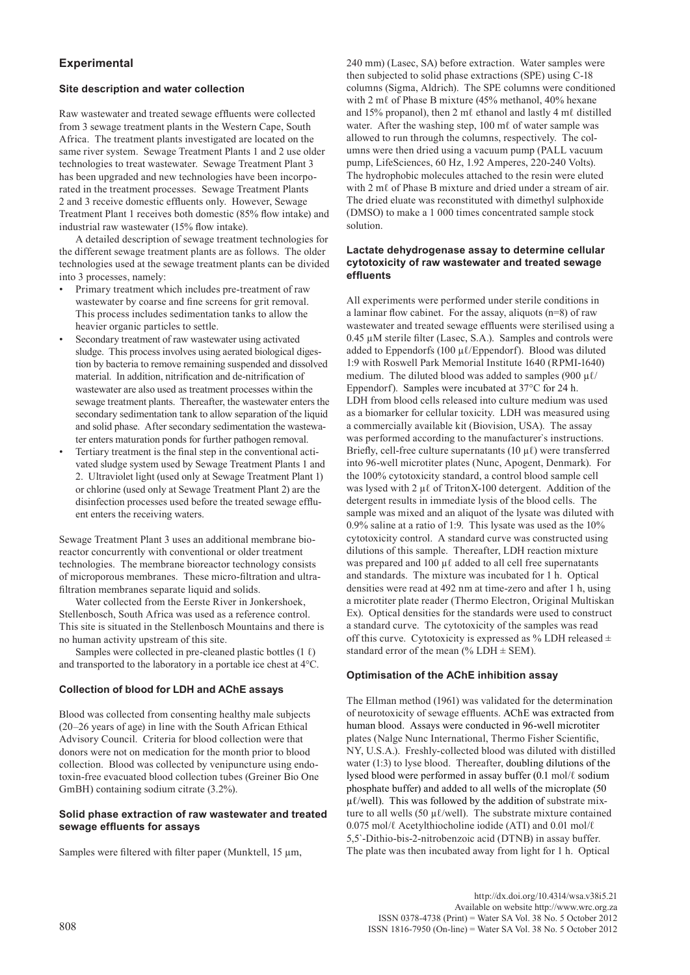# **Experimental**

#### **Site description and water collection**

Raw wastewater and treated sewage effluents were collected from 3 sewage treatment plants in the Western Cape, South Africa. The treatment plants investigated are located on the same river system. Sewage Treatment Plants 1 and 2 use older technologies to treat wastewater. Sewage Treatment Plant 3 has been upgraded and new technologies have been incorporated in the treatment processes. Sewage Treatment Plants 2 and 3 receive domestic effluents only. However, Sewage Treatment Plant 1 receives both domestic (85% flow intake) and industrial raw wastewater (15% flow intake).

A detailed description of sewage treatment technologies for the different sewage treatment plants are as follows. The older technologies used at the sewage treatment plants can be divided into 3 processes, namely:

- Primary treatment which includes pre-treatment of raw wastewater by coarse and fine screens for grit removal. This process includes sedimentation tanks to allow the heavier organic particles to settle.
- Secondary treatment of raw wastewater using activated sludge. This process involves using aerated biological digestion by bacteria to remove remaining suspended and dissolved material. In addition, nitrification and de-nitrification of wastewater are also used as treatment processes within the sewage treatment plants. Thereafter, the wastewater enters the secondary sedimentation tank to allow separation of the liquid and solid phase. After secondary sedimentation the wastewater enters maturation ponds for further pathogen removal.
- Tertiary treatment is the final step in the conventional activated sludge system used by Sewage Treatment Plants 1 and 2. Ultraviolet light (used only at Sewage Treatment Plant 1) or chlorine (used only at Sewage Treatment Plant 2) are the disinfection processes used before the treated sewage effluent enters the receiving waters.

Sewage Treatment Plant 3 uses an additional membrane bioreactor concurrently with conventional or older treatment technologies. The membrane bioreactor technology consists of microporous membranes. These micro-filtration and ultrafiltration membranes separate liquid and solids.

Water collected from the Eerste River in Jonkershoek, Stellenbosch, South Africa was used as a reference control. This site is situated in the Stellenbosch Mountains and there is no human activity upstream of this site.

Samples were collected in pre-cleaned plastic bottles  $(1 \ell)$ and transported to the laboratory in a portable ice chest at 4°C.

# **Collection of blood for LDH and AChE assays**

Blood was collected from consenting healthy male subjects (20–26 years of age) in line with the South African Ethical Advisory Council. Criteria for blood collection were that donors were not on medication for the month prior to blood collection. Blood was collected by venipuncture using endotoxin-free evacuated blood collection tubes (Greiner Bio One GmBH) containing sodium citrate (3.2%).

#### **Solid phase extraction of raw wastewater and treated sewage effluents for assays**

Samples were filtered with filter paper (Munktell, 15 um,

240 mm) (Lasec, SA) before extraction. Water samples were then subjected to solid phase extractions (SPE) using C-18 columns (Sigma, Aldrich). The SPE columns were conditioned with 2 mℓ of Phase B mixture (45% methanol, 40% hexane and 15% propanol), then 2 mℓ ethanol and lastly 4 mℓ distilled water. After the washing step, 100 ml of water sample was allowed to run through the columns, respectively. The columns were then dried using a vacuum pump (PALL vacuum pump, LifeSciences, 60 Hz, 1.92 Amperes, 220-240 Volts). The hydrophobic molecules attached to the resin were eluted with 2 m $\ell$  of Phase B mixture and dried under a stream of air. The dried eluate was reconstituted with dimethyl sulphoxide (DMSO) to make a 1 000 times concentrated sample stock solution.

#### **Lactate dehydrogenase assay to determine cellular cytotoxicity of raw wastewater and treated sewage effluents**

All experiments were performed under sterile conditions in a laminar flow cabinet. For the assay, aliquots (n=8) of raw wastewater and treated sewage effluents were sterilised using a 0.45 µM sterile filter (Lasec, S.A.). Samples and controls were added to Eppendorfs (100  $\mu$ *l*/Eppendorf). Blood was diluted 1:9 with Roswell Park Memorial Institute 1640 (RPMI-1640) medium. The diluted blood was added to samples (900  $\mu$ l/ Eppendorf). Samples were incubated at 37°C for 24 h. LDH from blood cells released into culture medium was used as a biomarker for cellular toxicity. LDH was measured using a commercially available kit (Biovision, USA). The assay was performed according to the manufacturer`s instructions. Briefly, cell-free culture supernatants (10  $\mu$ *l*) were transferred into 96-well microtiter plates (Nunc, Apogent, Denmark). For the 100% cytotoxicity standard, a control blood sample cell was lysed with 2 µℓ of TritonX-100 detergent. Addition of the detergent results in immediate lysis of the blood cells. The sample was mixed and an aliquot of the lysate was diluted with 0.9% saline at a ratio of 1:9. This lysate was used as the 10% cytotoxicity control. A standard curve was constructed using dilutions of this sample. Thereafter, LDH reaction mixture was prepared and 100 µℓ added to all cell free supernatants and standards. The mixture was incubated for 1 h. Optical densities were read at 492 nm at time-zero and after 1 h, using a microtiter plate reader (Thermo Electron, Original Multiskan Ex). Optical densities for the standards were used to construct a standard curve. The cytotoxicity of the samples was read off this curve. Cytotoxicity is expressed as % LDH released  $\pm$ standard error of the mean (%  $LDH \pm SEM$ ).

#### **Optimisation of the AChE inhibition assay**

The Ellman method (1961) was validated for the determination of neurotoxicity of sewage effluents. AChE was extracted from human blood. Assays were conducted in 96-well microtiter plates (Nalge Nunc International, Thermo Fisher Scientific, NY, U.S.A.). Freshly-collected blood was diluted with distilled water (1:3) to lyse blood. Thereafter, doubling dilutions of the lysed blood were performed in assay buffer (0.1 mol/ℓ sodium phosphate buffer) and added to all wells of the microplate (50  $\mu$ l/well). This was followed by the addition of substrate mixture to all wells (50  $\mu$ *l*/well). The substrate mixture contained 0.075 mol/ℓ Acetylthiocholine iodide (ATI) and 0.01 mol/ℓ 5,5`-Dithio-bis-2-nitrobenzoic acid (DTNB) in assay buffer. The plate was then incubated away from light for 1 h. Optical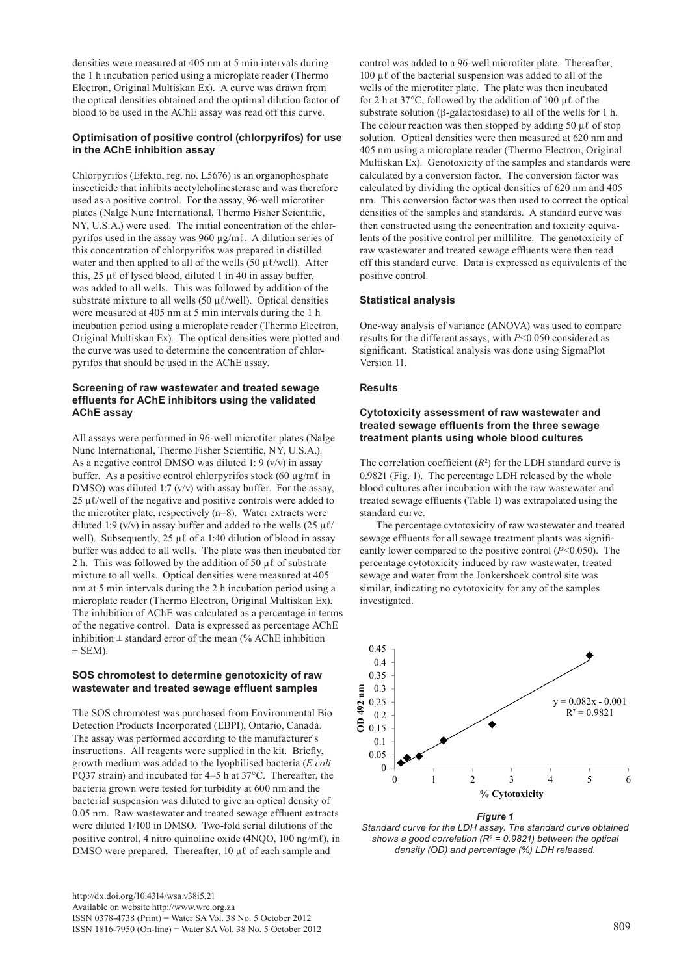densities were measured at 405 nm at 5 min intervals during the 1 h incubation period using a microplate reader (Thermo Electron, Original Multiskan Ex). A curve was drawn from the optical densities obtained and the optimal dilution factor of blood to be used in the AChE assay was read off this curve.

#### **Optimisation of positive control (chlorpyrifos) for use in the AChE inhibition assay**

Chlorpyrifos (Efekto, reg. no. L5676) is an organophosphate insecticide that inhibits acetylcholinesterase and was therefore used as a positive control. For the assay, 96-well microtiter plates (Nalge Nunc International, Thermo Fisher Scientific, NY, U.S.A.) were used. The initial concentration of the chlorpyrifos used in the assay was 960 µg/mℓ. A dilution series of this concentration of chlorpyrifos was prepared in distilled water and then applied to all of the wells (50  $\mu$ l/well). After this, 25 μl of lysed blood, diluted 1 in 40 in assay buffer. was added to all wells. This was followed by addition of the substrate mixture to all wells (50  $\mu$ l/well). Optical densities were measured at 405 nm at 5 min intervals during the 1 h incubation period using a microplate reader (Thermo Electron, Original Multiskan Ex). The optical densities were plotted and the curve was used to determine the concentration of chlorpyrifos that should be used in the AChE assay.

#### **Screening of raw wastewater and treated sewage effluents for AChE inhibitors using the validated AChE assay**

All assays were performed in 96-well microtiter plates (Nalge Nunc International, Thermo Fisher Scientific, NY, U.S.A.). As a negative control DMSO was diluted 1: 9 ( $v/v$ ) in assay buffer. As a positive control chlorpyrifos stock (60 µg/mℓ in DMSO) was diluted 1:7 (v/v) with assay buffer. For the assay, 25  $\mu$ *l*/well of the negative and positive controls were added to the microtiter plate, respectively (n=8). Water extracts were diluted 1:9 (v/v) in assay buffer and added to the wells (25  $\mu$ *l*/ well). Subsequently, 25 μl of a 1:40 dilution of blood in assay buffer was added to all wells. The plate was then incubated for 2 h. This was followed by the addition of 50  $\mu\ell$  of substrate mixture to all wells. Optical densities were measured at 405 nm at 5 min intervals during the 2 h incubation period using a microplate reader (Thermo Electron, Original Multiskan Ex). The inhibition of AChE was calculated as a percentage in terms of the negative control. Data is expressed as percentage AChE inhibition  $\pm$  standard error of the mean (% AChE inhibition  $\pm$  SEM).

#### **SOS chromotest to determine genotoxicity of raw wastewater and treated sewage effluent samples**

The SOS chromotest was purchased from Environmental Bio Detection Products Incorporated (EBPI), Ontario, Canada. The assay was performed according to the manufacturer`s instructions. All reagents were supplied in the kit. Briefly, growth medium was added to the lyophilised bacteria (*E.coli* PQ37 strain) and incubated for 4–5 h at 37°C. Thereafter, the bacteria grown were tested for turbidity at 600 nm and the bacterial suspension was diluted to give an optical density of 0.05 nm. Raw wastewater and treated sewage effluent extracts were diluted 1/100 in DMSO. Two-fold serial dilutions of the positive control, 4 nitro quinoline oxide (4NQO, 100 ng/mℓ), in DMSO were prepared. Thereafter, 10 µℓ of each sample and

control was added to a 96-well microtiter plate. Thereafter, 100 µℓ of the bacterial suspension was added to all of the wells of the microtiter plate. The plate was then incubated for 2 h at 37 $\degree$ C, followed by the addition of 100 µ $\ell$  of the substrate solution (β-galactosidase) to all of the wells for 1 h. The colour reaction was then stopped by adding 50  $\mu\ell$  of stop solution. Optical densities were then measured at 620 nm and 405 nm using a microplate reader (Thermo Electron, Original Multiskan Ex). Genotoxicity of the samples and standards were calculated by a conversion factor. The conversion factor was calculated by dividing the optical densities of 620 nm and 405 nm. This conversion factor was then used to correct the optical densities of the samples and standards. A standard curve was then constructed using the concentration and toxicity equivalents of the positive control per millilitre. The genotoxicity of raw wastewater and treated sewage effluents were then read off this standard curve. Data is expressed as equivalents of the positive control.

# **Statistical analysis**

One-way analysis of variance (ANOVA) was used to compare results for the different assays, with *P*<0.050 considered as significant. Statistical analysis was done using SigmaPlot Version 11.

# **Results**

#### **Cytotoxicity assessment of raw wastewater and treated sewage effluents from the three sewage treatment plants using whole blood cultures**

The correlation coefficient  $(R^2)$  for the LDH standard curve is 0.9821 (Fig. 1). The percentage LDH released by the whole blood cultures after incubation with the raw wastewater and treated sewage effluents (Table 1) was extrapolated using the standard curve.

The percentage cytotoxicity of raw wastewater and treated sewage effluents for all sewage treatment plants was significantly lower compared to the positive control (*P*<0.050). The percentage cytotoxicity induced by raw wastewater, treated sewage and water from the Jonkershoek control site was similar, indicating no cytotoxicity for any of the samples investigated.



*Figure 1 Standard curve for the LDH assay. The standard curve obtained shows a good correlation (R2 = 0.9821) between the optical density (OD) and percentage (%) LDH released.*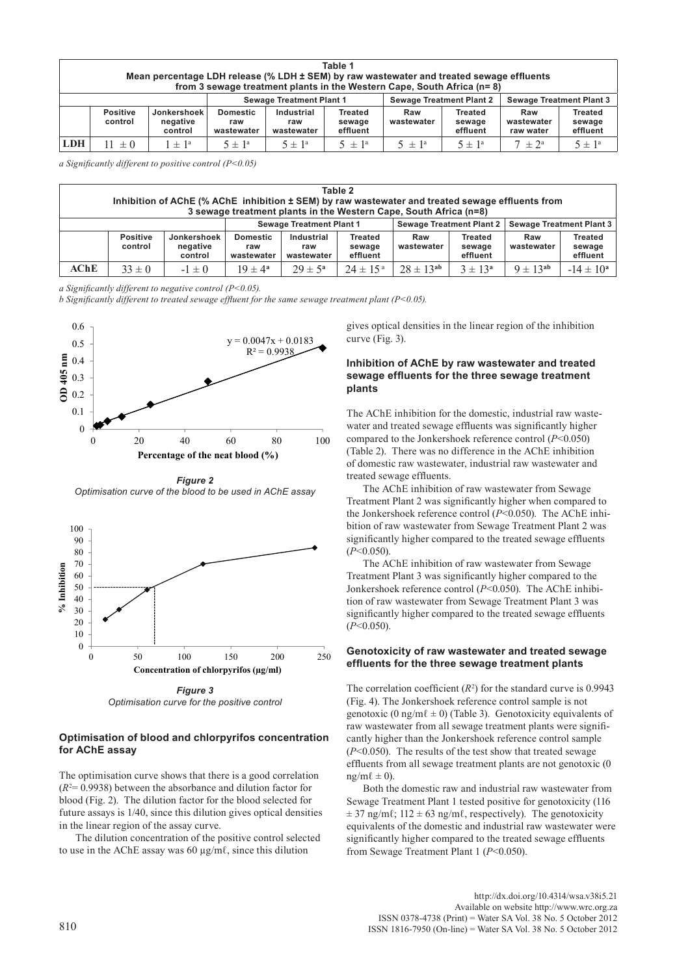| Table 1<br>Mean percentage LDH release (% LDH ± SEM) by raw wastewater and treated sewage effluents<br>from 3 sewage treatment plants in the Western Cape, South Africa $(n=8)$ |                            |                                    |                                      |                                 |                               |                                 |                                      |                                 |                                      |  |
|---------------------------------------------------------------------------------------------------------------------------------------------------------------------------------|----------------------------|------------------------------------|--------------------------------------|---------------------------------|-------------------------------|---------------------------------|--------------------------------------|---------------------------------|--------------------------------------|--|
|                                                                                                                                                                                 |                            |                                    | <b>Sewage Treatment Plant 1</b>      |                                 |                               | <b>Sewage Treatment Plant 2</b> |                                      | <b>Sewage Treatment Plant 3</b> |                                      |  |
|                                                                                                                                                                                 | <b>Positive</b><br>control | Jonkershoek<br>negative<br>control | <b>Domestic</b><br>raw<br>wastewater | Industrial<br>raw<br>wastewater | Treated<br>sewage<br>effluent | Raw<br>wastewater               | <b>Treated</b><br>sewage<br>effluent | Raw<br>wastewater<br>raw water  | <b>Treated</b><br>sewage<br>effluent |  |
| <b>LDH</b>                                                                                                                                                                      | $\pm 0$                    | $\pm$ 1 <sup>a</sup>               | $5 \pm 1^{\circ}$                    | $5 \pm 1^a$                     | $5 \pm 1^{\circ}$             | $5 \pm 1^{\circ}$               | $5 \pm 1^a$                          | $7 \pm 2^{\circ}$               | $5 \pm 1^{\circ}$                    |  |

*a Significantly different to positive control (P<0.05)*

| Table 2<br>Inhibition of AChE (% AChE inhibition ± SEM) by raw wastewater and treated sewage effluents from<br>3 sewage treatment plants in the Western Cape, South Africa (n=8) |                            |                                    |                                      |                                 |                                      |                                 |                               |                          |                                      |
|----------------------------------------------------------------------------------------------------------------------------------------------------------------------------------|----------------------------|------------------------------------|--------------------------------------|---------------------------------|--------------------------------------|---------------------------------|-------------------------------|--------------------------|--------------------------------------|
|                                                                                                                                                                                  |                            |                                    | <b>Sewage Treatment Plant 1</b>      |                                 |                                      | <b>Sewage Treatment Plant 2</b> |                               | Sewage Treatment Plant 3 |                                      |
|                                                                                                                                                                                  | <b>Positive</b><br>control | Jonkershoek<br>negative<br>control | <b>Domestic</b><br>raw<br>wastewater | Industrial<br>raw<br>wastewater | <b>Treated</b><br>sewage<br>effluent | Raw<br>wastewater               | Treated<br>sewage<br>effluent | Raw<br>wastewater        | <b>Treated</b><br>sewage<br>effluent |
| AChE                                                                                                                                                                             | $33 \pm 0$                 | $-1 \pm 0$                         | $19 \pm 4^{\circ}$                   | $29 \pm 5^{\circ}$              | $24 \pm 15^{a}$                      | $28 \pm 13^{ab}$                | $3 \pm 13^{a}$                | $9 \pm 13^{ab}$          | $-14 \pm 10^a$                       |

*a Significantly different to negative control (P<0.05).*

*b Significantly different to treated sewage effluent for the same sewage treatment plant (P<0.05).*



*Figure 2 Optimisation curve of the blood to be used in AChE assay*



*Figure 3 Optimisation curve for the positive control*

#### **Optimisation of blood and chlorpyrifos concentration for AChE assay**

The optimisation curve shows that there is a good correlation  $(R<sup>2</sup>= 0.9938)$  between the absorbance and dilution factor for blood (Fig. 2). The dilution factor for the blood selected for future assays is 1/40, since this dilution gives optical densities in the linear region of the assay curve.

The dilution concentration of the positive control selected to use in the AChE assay was 60 µg/mℓ, since this dilution

gives optical densities in the linear region of the inhibition curve (Fig. 3).

#### **Inhibition of AChE by raw wastewater and treated sewage effluents for the three sewage treatment plants**

The AChE inhibition for the domestic, industrial raw wastewater and treated sewage effluents was significantly higher compared to the Jonkershoek reference control (*P*<0.050) (Table 2). There was no difference in the AChE inhibition of domestic raw wastewater, industrial raw wastewater and treated sewage effluents.

The AChE inhibition of raw wastewater from Sewage Treatment Plant 2 was significantly higher when compared to the Jonkershoek reference control (*P*<0.050). The AChE inhibition of raw wastewater from Sewage Treatment Plant 2 was significantly higher compared to the treated sewage effluents (*P*<0.050).

The AChE inhibition of raw wastewater from Sewage Treatment Plant 3 was significantly higher compared to the Jonkershoek reference control (*P*<0.050). The AChE inhibition of raw wastewater from Sewage Treatment Plant 3 was significantly higher compared to the treated sewage effluents (*P*<0.050).

#### **Genotoxicity of raw wastewater and treated sewage effluents for the three sewage treatment plants**

The correlation coefficient  $(R^2)$  for the standard curve is 0.9943 (Fig. 4). The Jonkershoek reference control sample is not genotoxic (0 ng/m $\ell \pm 0$ ) (Table 3). Genotoxicity equivalents of raw wastewater from all sewage treatment plants were significantly higher than the Jonkershoek reference control sample (*P*<0.050). The results of the test show that treated sewage effluents from all sewage treatment plants are not genotoxic (0  $ng/m\ell \pm 0$ ).

Both the domestic raw and industrial raw wastewater from Sewage Treatment Plant 1 tested positive for genotoxicity (116  $\pm$  37 ng/m $\ell$ ; 112  $\pm$  63 ng/m $\ell$ , respectively). The genotoxicity equivalents of the domestic and industrial raw wastewater were significantly higher compared to the treated sewage effluents from Sewage Treatment Plant 1 (*P*<0.050).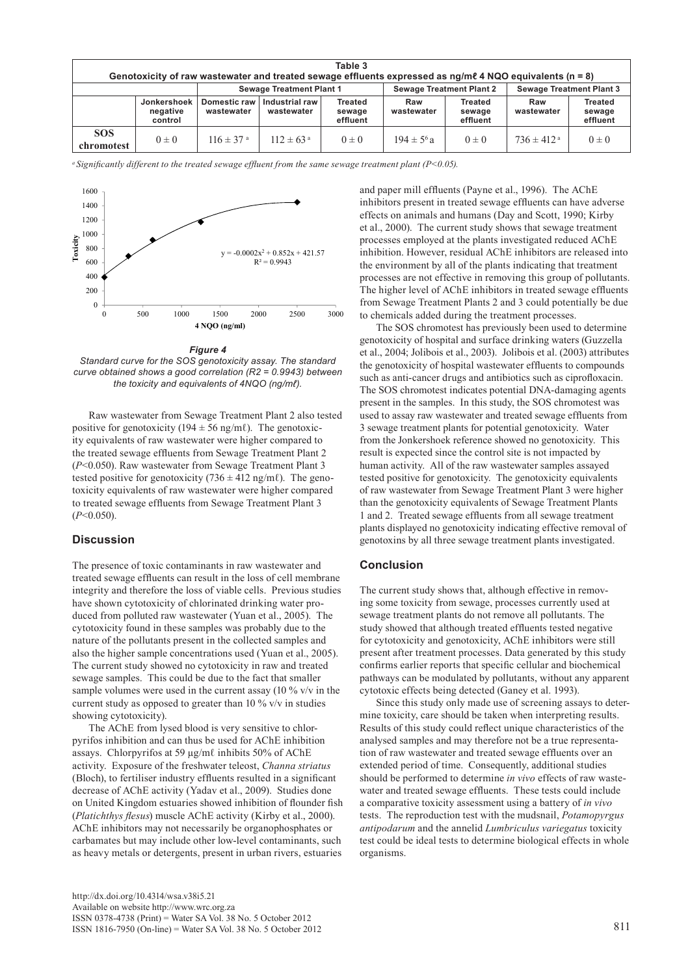| Table 3<br>Genotoxicity of raw wastewater and treated sewage effluents expressed as $nq/m\ell$ 4 NQO equivalents ( $n = 8$ ) |                                    |                            |                                 |                                      |                   |                                      |                                 |                                      |  |  |
|------------------------------------------------------------------------------------------------------------------------------|------------------------------------|----------------------------|---------------------------------|--------------------------------------|-------------------|--------------------------------------|---------------------------------|--------------------------------------|--|--|
|                                                                                                                              |                                    |                            | <b>Sewage Treatment Plant 1</b> |                                      |                   | <b>Sewage Treatment Plant 2</b>      | <b>Sewage Treatment Plant 3</b> |                                      |  |  |
|                                                                                                                              | Jonkershoek<br>negative<br>control | Domestic raw<br>wastewater | Industrial raw<br>wastewater    | <b>Treated</b><br>sewage<br>effluent | Raw<br>wastewater | <b>Treated</b><br>sewage<br>effluent | Raw<br>wastewater               | <b>Treated</b><br>sewage<br>effluent |  |  |
| <b>SOS</b><br>chromotest                                                                                                     | $0 \pm 0$                          | $116 \pm 37$ <sup>a</sup>  | $112 \pm 63^{\circ}$            | $0 \pm 0$                            | $194 \pm 5^{6}$ a | $0 \pm 0$                            | $736 \pm 412$ <sup>a</sup>      | $0 \pm 0$                            |  |  |

*<sup>a</sup>Significantly different to the treated sewage effluent from the same sewage treatment plant (P<0.05).*



*Figure 4*

*Standard curve for the SOS genotoxicity assay. The standard curve obtained shows a good correlation (R2 = 0.9943) between the toxicity and equivalents of 4NQO (ng/mℓ).*

Raw wastewater from Sewage Treatment Plant 2 also tested positive for genotoxicity (194  $\pm$  56 ng/mℓ). The genotoxicity equivalents of raw wastewater were higher compared to the treated sewage effluents from Sewage Treatment Plant 2 (*P*<0.050). Raw wastewater from Sewage Treatment Plant 3 tested positive for genotoxicity (736  $\pm$  412 ng/m $\ell$ ). The genotoxicity equivalents of raw wastewater were higher compared to treated sewage effluents from Sewage Treatment Plant 3 (*P*<0.050).

#### **Discussion**

The presence of toxic contaminants in raw wastewater and treated sewage effluents can result in the loss of cell membrane integrity and therefore the loss of viable cells. Previous studies have shown cytotoxicity of chlorinated drinking water produced from polluted raw wastewater (Yuan et al., 2005). The cytotoxicity found in these samples was probably due to the nature of the pollutants present in the collected samples and also the higher sample concentrations used (Yuan et al., 2005). The current study showed no cytotoxicity in raw and treated sewage samples. This could be due to the fact that smaller sample volumes were used in the current assay (10 % v/v in the current study as opposed to greater than 10 % v/v in studies showing cytotoxicity).

The AChE from lysed blood is very sensitive to chlorpyrifos inhibition and can thus be used for AChE inhibition assays. Chlorpyrifos at 59 µg/mℓ inhibits 50% of AChE activity. Exposure of the freshwater teleost, *Channa striatus* (Bloch), to fertiliser industry effluents resulted in a significant decrease of AChE activity (Yadav et al., 2009). Studies done on United Kingdom estuaries showed inhibition of flounder fish (*Platichthys flesus*) muscle AChE activity (Kirby et al., 2000). AChE inhibitors may not necessarily be organophosphates or carbamates but may include other low-level contaminants, such as heavy metals or detergents, present in urban rivers, estuaries

and paper mill effluents (Payne et al., 1996). The AChE inhibitors present in treated sewage effluents can have adverse effects on animals and humans (Day and Scott, 1990; Kirby et al., 2000). The current study shows that sewage treatment processes employed at the plants investigated reduced AChE inhibition. However, residual AChE inhibitors are released into the environment by all of the plants indicating that treatment processes are not effective in removing this group of pollutants. The higher level of AChE inhibitors in treated sewage effluents from Sewage Treatment Plants 2 and 3 could potentially be due to chemicals added during the treatment processes.

The SOS chromotest has previously been used to determine genotoxicity of hospital and surface drinking waters (Guzzella et al., 2004; Jolibois et al., 2003). Jolibois et al. (2003) attributes the genotoxicity of hospital wastewater effluents to compounds such as anti-cancer drugs and antibiotics such as ciprofloxacin. The SOS chromotest indicates potential DNA-damaging agents present in the samples. In this study, the SOS chromotest was used to assay raw wastewater and treated sewage effluents from 3 sewage treatment plants for potential genotoxicity. Water from the Jonkershoek reference showed no genotoxicity. This result is expected since the control site is not impacted by human activity. All of the raw wastewater samples assayed tested positive for genotoxicity. The genotoxicity equivalents of raw wastewater from Sewage Treatment Plant 3 were higher than the genotoxicity equivalents of Sewage Treatment Plants 1 and 2. Treated sewage effluents from all sewage treatment plants displayed no genotoxicity indicating effective removal of genotoxins by all three sewage treatment plants investigated.

#### **Conclusion**

The current study shows that, although effective in removing some toxicity from sewage, processes currently used at sewage treatment plants do not remove all pollutants. The study showed that although treated effluents tested negative for cytotoxicity and genotoxicity, AChE inhibitors were still present after treatment processes. Data generated by this study confirms earlier reports that specific cellular and biochemical pathways can be modulated by pollutants, without any apparent cytotoxic effects being detected (Ganey et al. 1993).

Since this study only made use of screening assays to determine toxicity, care should be taken when interpreting results. Results of this study could reflect unique characteristics of the analysed samples and may therefore not be a true representation of raw wastewater and treated sewage effluents over an extended period of time. Consequently, additional studies should be performed to determine *in vivo* effects of raw wastewater and treated sewage effluents. These tests could include a comparative toxicity assessment using a battery of *in vivo* tests. The reproduction test with the mudsnail, *Potamopyrgus antipodarum* and the annelid *Lumbriculus variegatus* toxicity test could be ideal tests to determine biological effects in whole organisms.